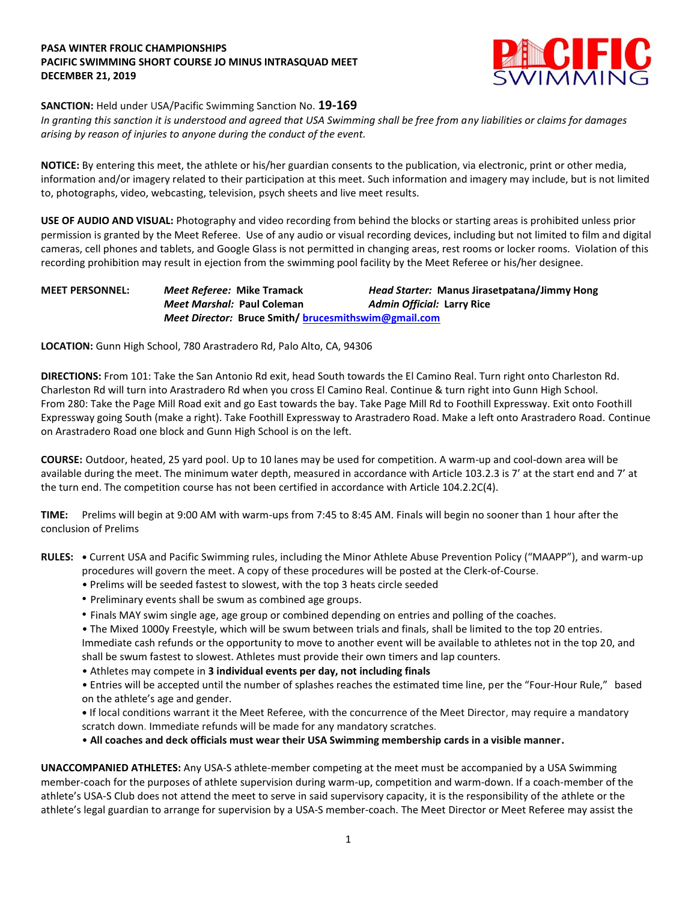## **PASA WINTER FROLIC CHAMPIONSHIPS PACIFIC SWIMMING SHORT COURSE JO MINUS INTRASQUAD MEET DECEMBER 21, 2019**



## **SANCTION:** Held under USA/Pacific Swimming Sanction No. **19-169**

*In granting this sanction it is understood and agreed that USA Swimming shall be free from any liabilities or claims for damages arising by reason of injuries to anyone during the conduct of the event.*

**NOTICE:** By entering this meet, the athlete or his/her guardian consents to the publication, via electronic, print or other media, information and/or imagery related to their participation at this meet. Such information and imagery may include, but is not limited to, photographs, video, webcasting, television, psych sheets and live meet results.

**USE OF AUDIO AND VISUAL:** Photography and video recording from behind the blocks or starting areas is prohibited unless prior permission is granted by the Meet Referee. Use of any audio or visual recording devices, including but not limited to film and digital cameras, cell phones and tablets, and Google Glass is not permitted in changing areas, rest rooms or locker rooms. Violation of this recording prohibition may result in ejection from the swimming pool facility by the Meet Referee or his/her designee.

## **MEET PERSONNEL:** *Meet Referee:* **Mike Tramack** *Head Starter:* **Manus Jirasetpatana/Jimmy Hong** *Meet Marshal:* **Paul Coleman** *Admin Official:* **Larry Rice** *Meet Director:* **Bruce Smith/ [brucesmithswim@gmail.com](mailto:brucesmithswim@gmail.com)**

**LOCATION:** Gunn High School, 780 Arastradero Rd, Palo Alto, CA, 94306

**DIRECTIONS:** From 101: Take the San Antonio Rd exit, head South towards the El Camino Real. Turn right onto Charleston Rd. Charleston Rd will turn into Arastradero Rd when you cross El Camino Real. Continue & turn right into Gunn High School. From 280: Take the Page Mill Road exit and go East towards the bay. Take Page Mill Rd to Foothill Expressway. Exit onto Foothill Expressway going South (make a right). Take Foothill Expressway to Arastradero Road. Make a left onto Arastradero Road. Continue on Arastradero Road one block and Gunn High School is on the left.

**COURSE:** Outdoor, heated, 25 yard pool. Up to 10 lanes may be used for competition. A warm-up and cool-down area will be available during the meet. The minimum water depth, measured in accordance with Article 103.2.3 is 7' at the start end and 7' at the turn end. The competition course has not been certified in accordance with Article 104.2.2C(4).

**TIME:** Prelims will begin at 9:00 AM with warm-ups from 7:45 to 8:45 AM. Finals will begin no sooner than 1 hour after the conclusion of Prelims

- **RULES: •** Current USA and Pacific Swimming rules, including the Minor Athlete Abuse Prevention Policy ("MAAPP"), and warm-up procedures will govern the meet. A copy of these procedures will be posted at the Clerk-of-Course.
	- Prelims will be seeded fastest to slowest, with the top 3 heats circle seeded
	- Preliminary events shall be swum as combined age groups.
	- Finals MAY swim single age, age group or combined depending on entries and polling of the coaches.

• The Mixed 1000y Freestyle, which will be swum between trials and finals, shall be limited to the top 20 entries. Immediate cash refunds or the opportunity to move to another event will be available to athletes not in the top 20, and shall be swum fastest to slowest. Athletes must provide their own timers and lap counters.

• Athletes may compete in **3 individual events per day, not including finals**

• Entries will be accepted until the number of splashes reaches the estimated time line, per the "Four-Hour Rule," based on the athlete's age and gender.

**•** If local conditions warrant it the Meet Referee, with the concurrence of the Meet Director, may require a mandatory scratch down. Immediate refunds will be made for any mandatory scratches.

• **All coaches and deck officials must wear their USA Swimming membership cards in a visible manner.** 

**UNACCOMPANIED ATHLETES:** Any USA-S athlete-member competing at the meet must be accompanied by a USA Swimming member-coach for the purposes of athlete supervision during warm-up, competition and warm-down. If a coach-member of the athlete's USA-S Club does not attend the meet to serve in said supervisory capacity, it is the responsibility of the athlete or the athlete's legal guardian to arrange for supervision by a USA-S member-coach. The Meet Director or Meet Referee may assist the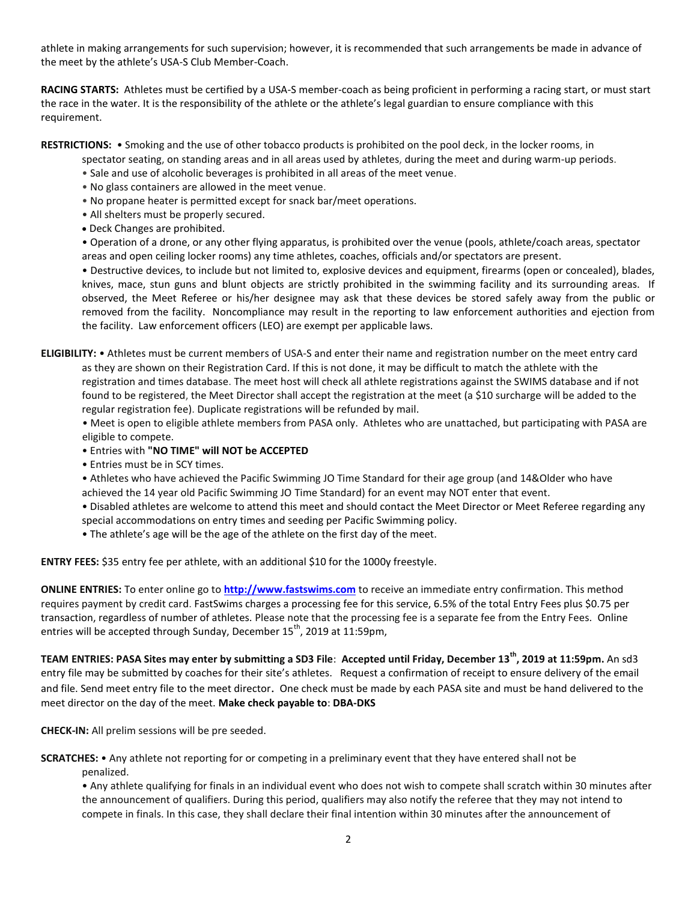athlete in making arrangements for such supervision; however, it is recommended that such arrangements be made in advance of the meet by the athlete's USA-S Club Member-Coach.

**RACING STARTS:** Athletes must be certified by a USA-S member-coach as being proficient in performing a racing start, or must start the race in the water. It is the responsibility of the athlete or the athlete's legal guardian to ensure compliance with this requirement.

**RESTRICTIONS:** • Smoking and the use of other tobacco products is prohibited on the pool deck, in the locker rooms, in

spectator seating, on standing areas and in all areas used by athletes, during the meet and during warm-up periods.

- Sale and use of alcoholic beverages is prohibited in all areas of the meet venue.
- No glass containers are allowed in the meet venue.
- No propane heater is permitted except for snack bar/meet operations.
- All shelters must be properly secured.
- Deck Changes are prohibited.

• Operation of a drone, or any other flying apparatus, is prohibited over the venue (pools, athlete/coach areas, spectator areas and open ceiling locker rooms) any time athletes, coaches, officials and/or spectators are present.

• Destructive devices, to include but not limited to, explosive devices and equipment, firearms (open or concealed), blades, knives, mace, stun guns and blunt objects are strictly prohibited in the swimming facility and its surrounding areas. If observed, the Meet Referee or his/her designee may ask that these devices be stored safely away from the public or removed from the facility. Noncompliance may result in the reporting to law enforcement authorities and ejection from the facility. Law enforcement officers (LEO) are exempt per applicable laws.

**ELIGIBILITY:** • Athletes must be current members of USA-S and enter their name and registration number on the meet entry card as they are shown on their Registration Card. If this is not done, it may be difficult to match the athlete with the registration and times database. The meet host will check all athlete registrations against the SWIMS database and if not found to be registered, the Meet Director shall accept the registration at the meet (a \$10 surcharge will be added to the regular registration fee). Duplicate registrations will be refunded by mail.

 • Meet is open to eligible athlete members from PASA only. Athletes who are unattached, but participating with PASA are eligible to compete.

- Entries with **"NO TIME" will NOT be ACCEPTED**
- Entries must be in SCY times.
- Athletes who have achieved the Pacific Swimming JO Time Standard for their age group (and 14&Older who have achieved the 14 year old Pacific Swimming JO Time Standard) for an event may NOT enter that event.
- Disabled athletes are welcome to attend this meet and should contact the Meet Director or Meet Referee regarding any special accommodations on entry times and seeding per Pacific Swimming policy.
- The athlete's age will be the age of the athlete on the first day of the meet.

**ENTRY FEES:** \$35 entry fee per athlete, with an additional \$10 for the 1000y freestyle.

**ONLINE ENTRIES:** To enter online go to **[http://www.fastswims.com](http://www.fastswims.com/)** to receive an immediate entry confirmation. This method requires payment by credit card. FastSwims charges a processing fee for this service, 6.5% of the total Entry Fees plus \$0.75 per transaction, regardless of number of athletes. Please note that the processing fee is a separate fee from the Entry Fees. Online entries will be accepted through Sunday, December 15<sup>th</sup>, 2019 at 11:59pm,

**TEAM ENTRIES: PASA Sites may enter by submitting a SD3 File**: **Accepted until Friday, December 13th, 2019 at 11:59pm.** An sd3 entry file may be submitted by coaches for their site's athletes. Request a confirmation of receipt to ensure delivery of the email and file. Send meet entry file to the meet director. One check must be made by each PASA site and must be hand delivered to the meet director on the day of the meet. **Make check payable to**: **DBA-DKS**

**CHECK-IN:** All prelim sessions will be pre seeded.

**SCRATCHES:** • Any athlete not reporting for or competing in a preliminary event that they have entered shall not be penalized.

• Any athlete qualifying for finals in an individual event who does not wish to compete shall scratch within 30 minutes after the announcement of qualifiers. During this period, qualifiers may also notify the referee that they may not intend to compete in finals. In this case, they shall declare their final intention within 30 minutes after the announcement of